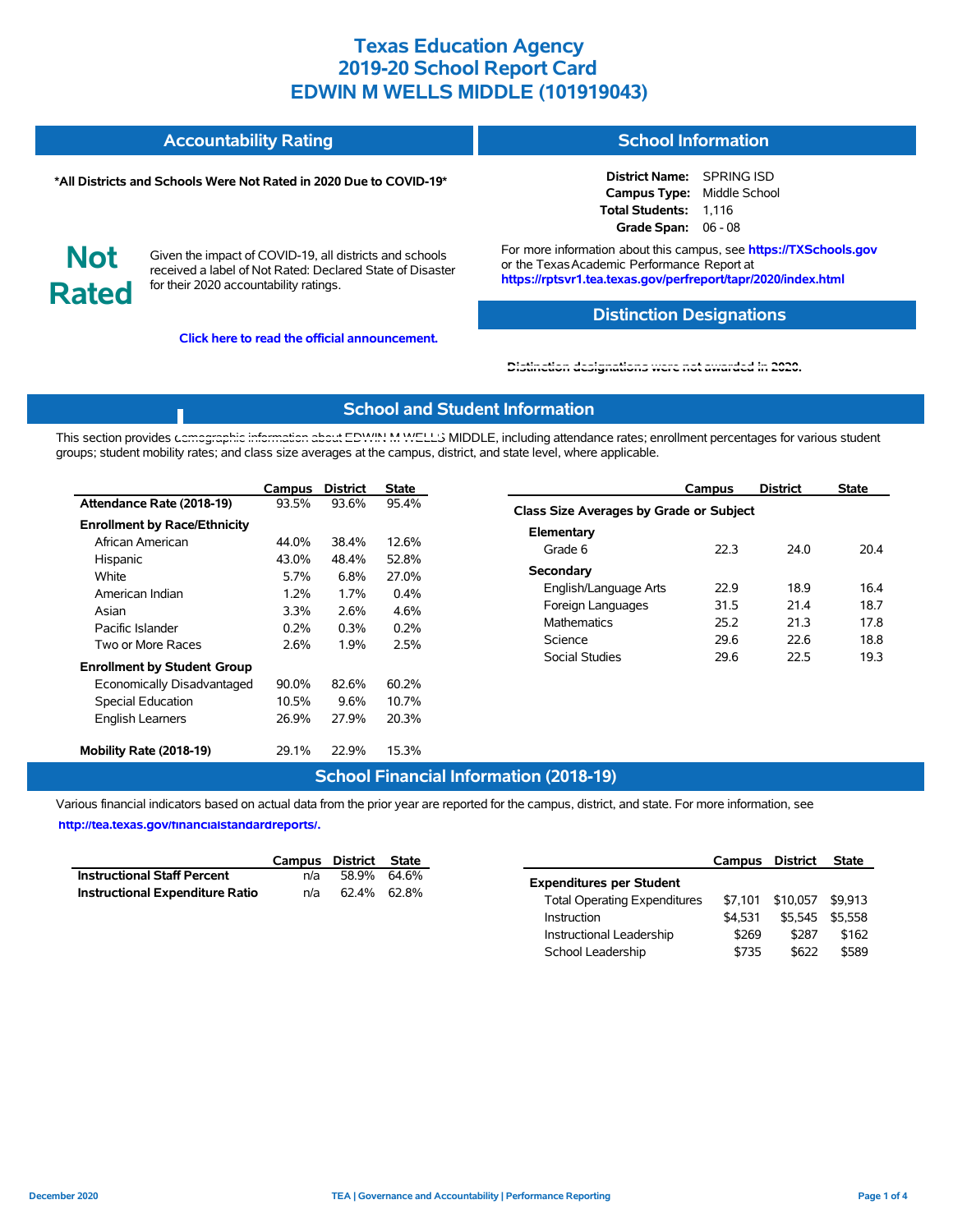#### **Accountability Rating School Information**

#### **\*All Districts and Schools Were Not Rated in 2020 Due to COVID-19\***

**District Name:** SPRING ISD **Campus Type:** Middle School **Total Students:** 1,116 **Grade Span:** 06 - 08

**Not Rated**

Given the impact of COVID-19, all districts and schools received a label of Not Rated: Declared State of Disaster for their 2020 accountability ratings.

**Click here to read the official announcement.**

For more information about this campus, see **https://TXSchools.gov** or the Texas Academic Performance Report at **https://rptsvr1.tea.texas.gov/perfreport/tapr/2020/index.html**

## **Distinction Designations**

Instructional Leadership  $$269$  \$287 \$162 School Leadership  $$735$  \$622 \$589

#### **[Distinction designations were not awarded in 2020.](https://rptsvr1.tea.texas.gov/perfreport/tapr/2020/index.html)**

#### **School and Student Information**

This section provides [demographic information about EDWIN M WELLS](https://tea.texas.gov/about-tea/news-and-multimedia/correspondence/taa-letters/every-student-succeeds-act-essa-waiver-approval-2020-state-academic-accountability) MIDDLE, including attendance rates; enrollment percentages for various student groups; student mobility rates; and class size averages at the campus, district, and state level, where applicable.

|                                                                                                                                       | Campus                                         | <b>District</b>                                | <b>State</b>                                    | <b>District</b><br><b>State</b><br>Campus                                                                                                                                                         |                                      |
|---------------------------------------------------------------------------------------------------------------------------------------|------------------------------------------------|------------------------------------------------|-------------------------------------------------|---------------------------------------------------------------------------------------------------------------------------------------------------------------------------------------------------|--------------------------------------|
| Attendance Rate (2018-19)                                                                                                             | 93.5%                                          | 93.6%                                          | 95.4%                                           | Class Size Averages by Grade or Subject                                                                                                                                                           |                                      |
| <b>Enrollment by Race/Ethnicity</b><br>African American<br>Hispanic<br>White<br>American Indian<br>Asian<br>Pacific Islander          | 44.0%<br>43.0%<br>5.7%<br>1.2%<br>3.3%<br>0.2% | 38.4%<br>48.4%<br>6.8%<br>1.7%<br>2.6%<br>0.3% | 12.6%<br>52.8%<br>27.0%<br>0.4%<br>4.6%<br>0.2% | Elementary<br>22.3<br>24.0<br>Grade 6<br>Secondary<br>22.9<br>18.9<br>English/Language Arts<br>31.5<br>Foreign Languages<br>21.4<br><b>Mathematics</b><br>25.2<br>21.3<br>29.6<br>Science<br>22.6 | 20.4<br>16.4<br>18.7<br>17.8<br>18.8 |
| Two or More Races<br><b>Enrollment by Student Group</b><br>Economically Disadvantaged<br>Special Education<br><b>English Learners</b> | 2.6%<br>90.0%<br>10.5%<br>26.9%                | 1.9%<br>82.6%<br>9.6%<br>27.9%                 | 2.5%<br>60.2%<br>10.7%<br>20.3%                 | Social Studies<br>29.6<br>22.5                                                                                                                                                                    | 19.3                                 |
| Mobility Rate (2018-19)                                                                                                               | 29.1%                                          | 22.9%                                          | 15.3%                                           |                                                                                                                                                                                                   |                                      |

## **School Financial Information (2018-19)**

Various financial indicators based on actual data from the prior year are reported for the campus, district, and state. For more information, see

**[http://tea.texas.gov/financialstandardreports/.](http://tea.texas.gov/financialstandardreports/)**

|                                        |     | Campus District State |             | Campus                                         | District         | State |
|----------------------------------------|-----|-----------------------|-------------|------------------------------------------------|------------------|-------|
| <b>Instructional Staff Percent</b>     | n/a |                       | 58.9% 64.6% | <b>Expenditures per Student</b>                |                  |       |
| <b>Instructional Expenditure Ratio</b> | n/a | 62.4% 62.8%           |             | \$7.101<br><b>Total Operating Expenditures</b> | \$10,057 \$9,913 |       |
|                                        |     |                       |             | \$4.531<br>Instruction                         | \$5,545 \$5,558  |       |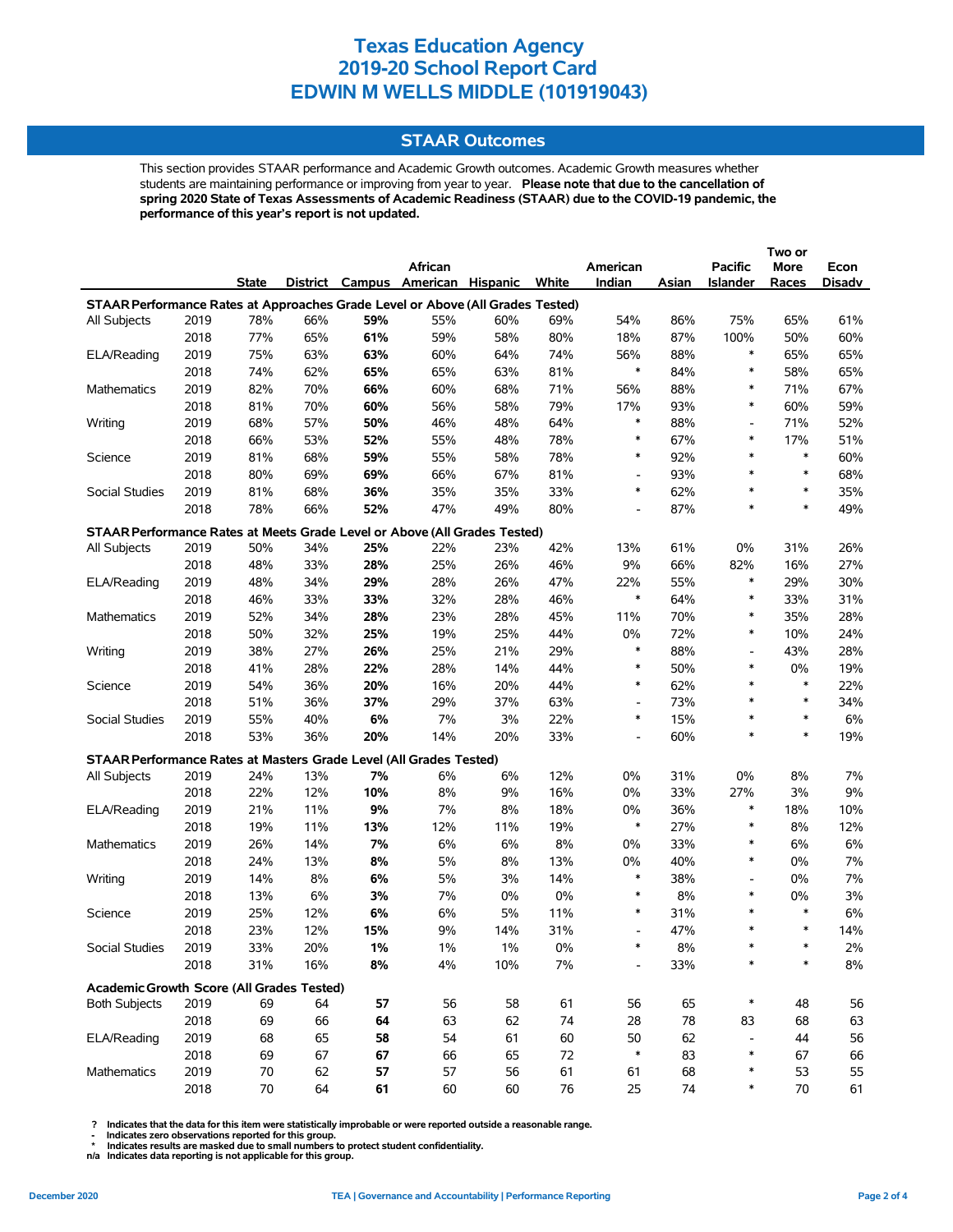## **STAAR Outcomes**

This section provides STAAR performance and Academic Growth outcomes. Academic Growth measures whether students are maintaining performance or improving from year to year. **Please note that due to the cancellation of spring 2020 State of Texas Assessments of Academic Readiness (STAAR) due to the COVID-19 pandemic, the performance of this year's report is not updated.**

|                                                                                |      |        |     |     |                                   |       |       |                          |       |                          | Two or |        |
|--------------------------------------------------------------------------------|------|--------|-----|-----|-----------------------------------|-------|-------|--------------------------|-------|--------------------------|--------|--------|
|                                                                                |      |        |     |     | African                           |       |       | American                 |       | <b>Pacific</b>           | More   | Econ   |
|                                                                                |      | State  |     |     | District Campus American Hispanic |       | White | Indian                   | Asian | <b>Islander</b>          | Races  | Disadv |
| STAAR Performance Rates at Approaches Grade Level or Above (All Grades Tested) |      |        |     |     |                                   |       |       |                          |       |                          |        |        |
| All Subjects                                                                   | 2019 | 78%    | 66% | 59% | 55%                               | 60%   | 69%   | 54%                      | 86%   | 75%                      | 65%    | 61%    |
|                                                                                | 2018 | 77%    | 65% | 61% | 59%                               | 58%   | 80%   | 18%                      | 87%   | 100%                     | 50%    | 60%    |
| ELA/Reading                                                                    | 2019 | 75%    | 63% | 63% | 60%                               | 64%   | 74%   | 56%                      | 88%   | $\ast$                   | 65%    | 65%    |
|                                                                                | 2018 | 74%    | 62% | 65% | 65%                               | 63%   | 81%   | $\ast$                   | 84%   | $\ast$                   | 58%    | 65%    |
| Mathematics                                                                    | 2019 | 82%    | 70% | 66% | 60%                               | 68%   | 71%   | 56%                      | 88%   | $\ast$                   | 71%    | 67%    |
|                                                                                | 2018 | 81%    | 70% | 60% | 56%                               | 58%   | 79%   | 17%                      | 93%   | $\ast$                   | 60%    | 59%    |
| Writing                                                                        | 2019 | 68%    | 57% | 50% | 46%                               | 48%   | 64%   | $\ast$                   | 88%   | $\overline{\phantom{0}}$ | 71%    | 52%    |
|                                                                                | 2018 | 66%    | 53% | 52% | 55%                               | 48%   | 78%   | $\ast$                   | 67%   | *                        | 17%    | 51%    |
| Science                                                                        | 2019 | 81%    | 68% | 59% | 55%                               | 58%   | 78%   | $\ast$                   | 92%   | $\ast$                   | $\ast$ | 60%    |
|                                                                                | 2018 | 80%    | 69% | 69% | 66%                               | 67%   | 81%   | $\overline{\phantom{a}}$ | 93%   | $\ast$                   | $\ast$ | 68%    |
| Social Studies                                                                 | 2019 | 81%    | 68% | 36% | 35%                               | 35%   | 33%   | $\ast$                   | 62%   | *                        | $\ast$ | 35%    |
|                                                                                | 2018 | 78%    | 66% | 52% | 47%                               | 49%   | 80%   | $\overline{\phantom{a}}$ | 87%   | $\ast$                   | $\ast$ | 49%    |
| STAAR Performance Rates at Meets Grade Level or Above (All Grades Tested)      |      |        |     |     |                                   |       |       |                          |       |                          |        |        |
| All Subjects                                                                   | 2019 | 50%    | 34% | 25% | 22%                               | 23%   | 42%   | 13%                      | 61%   | 0%                       | 31%    | 26%    |
|                                                                                | 2018 | 48%    | 33% | 28% | 25%                               | 26%   | 46%   | 9%                       | 66%   | 82%                      | 16%    | 27%    |
| ELA/Reading                                                                    | 2019 | 48%    | 34% | 29% | 28%                               | 26%   | 47%   | 22%                      | 55%   | $\ast$                   | 29%    | 30%    |
|                                                                                | 2018 | 46%    | 33% | 33% | 32%                               | 28%   | 46%   | $\ast$                   | 64%   | $\ast$                   | 33%    | 31%    |
| <b>Mathematics</b>                                                             | 2019 | 52%    | 34% | 28% | 23%                               | 28%   | 45%   | 11%                      | 70%   | $\ast$                   | 35%    | 28%    |
|                                                                                | 2018 | 50%    | 32% | 25% | 19%                               | 25%   | 44%   | $0\%$                    | 72%   | $\ast$                   | 10%    | 24%    |
| Writing                                                                        | 2019 | 38%    | 27% | 26% | 25%                               | 21%   | 29%   | $\ast$                   | 88%   | $\overline{\phantom{a}}$ | 43%    | 28%    |
|                                                                                | 2018 | 41%    | 28% | 22% | 28%                               | 14%   | 44%   | $\ast$                   | 50%   | $\ast$                   | 0%     | 19%    |
| Science                                                                        | 2019 | 54%    | 36% | 20% | 16%                               | 20%   | 44%   | $\ast$                   | 62%   | *                        | $\ast$ | 22%    |
|                                                                                | 2018 | 51%    | 36% | 37% | 29%                               | 37%   | 63%   | $\overline{\phantom{a}}$ | 73%   | *                        | $\ast$ | 34%    |
| Social Studies                                                                 | 2019 | 55%    | 40% | 6%  | 7%                                | 3%    | 22%   | $\ast$                   | 15%   | *                        | $\ast$ | 6%     |
|                                                                                | 2018 | 53%    | 36% | 20% | 14%                               | 20%   | 33%   |                          | 60%   | $\ast$                   | $\ast$ | 19%    |
| STAAR Performance Rates at Masters Grade Level (All Grades Tested)             |      |        |     |     |                                   |       |       |                          |       |                          |        |        |
| All Subjects                                                                   | 2019 | 24%    | 13% | 7%  | 6%                                | 6%    | 12%   | 0%                       | 31%   | 0%                       | 8%     | 7%     |
|                                                                                | 2018 | 22%    | 12% | 10% | 8%                                | 9%    | 16%   | 0%                       | 33%   | 27%                      | 3%     | 9%     |
| ELA/Reading                                                                    | 2019 | 21%    | 11% | 9%  | 7%                                | 8%    | 18%   | $0\%$                    | 36%   | $\ast$                   | 18%    | 10%    |
|                                                                                | 2018 | 19%    | 11% | 13% | 12%                               | 11%   | 19%   | $\ast$                   | 27%   | $\ast$                   | 8%     | 12%    |
| <b>Mathematics</b>                                                             | 2019 | 26%    | 14% | 7%  | 6%                                | 6%    | 8%    | 0%                       | 33%   | $\ast$                   | 6%     | 6%     |
|                                                                                | 2018 | 24%    | 13% | 8%  | 5%                                | 8%    | 13%   | $0\%$                    | 40%   | $\ast$                   | 0%     | 7%     |
| Writing                                                                        | 2019 | 14%    | 8%  | 6%  | 5%                                | 3%    | 14%   | $\ast$                   | 38%   | $\overline{\phantom{a}}$ | 0%     | 7%     |
|                                                                                | 2018 | 13%    | 6%  | 3%  | 7%                                | 0%    | 0%    | $\ast$                   | 8%    | $\ast$                   | 0%     | 3%     |
| Science                                                                        | 2019 | 25%    | 12% | 6%  | 6%                                | 5%    | 11%   | $\ast$                   | 31%   | $\ast$                   | $\ast$ | 6%     |
|                                                                                | 2018 | 23%    | 12% | 15% | 9%                                | 14%   | 31%   | $\overline{\phantom{a}}$ | 47%   | *                        | $\ast$ | 14%    |
| Social Studies                                                                 | 2019 | 33%    | 20% | 1%  | $1\%$                             | $1\%$ | 0%    |                          | 8%    |                          |        | 2%     |
|                                                                                | 2018 | 31%    | 16% | 8%  | 4%                                | 10%   | 7%    |                          | 33%   | *                        |        | $8\%$  |
| Academic Growth Score (All Grades Tested)                                      |      |        |     |     |                                   |       |       |                          |       |                          |        |        |
| <b>Both Subjects</b>                                                           | 2019 | 69     | 64  | 57  | 56                                | 58    | 61    | 56                       | 65    | $\ast$                   | 48     | 56     |
|                                                                                | 2018 | 69     | 66  | 64  | 63                                | 62    | 74    | 28                       | 78    | 83                       | 68     | 63     |
| ELA/Reading                                                                    | 2019 | 68     | 65  | 58  | 54                                | 61    | 60    | 50                       | 62    | $\overline{\phantom{0}}$ | 44     | 56     |
|                                                                                | 2018 | 69     | 67  | 67  | 66                                | 65    | 72    | $\ast$                   | 83    | *                        | 67     | 66     |
| Mathematics                                                                    | 2019 | 70     | 62  | 57  | 57                                | 56    | 61    | 61                       | 68    | *                        | 53     | 55     |
|                                                                                | 2018 | $70\,$ | 64  | 61  | 60                                | 60    | 76    | 25                       | 74    | *                        | $70\,$ | 61     |

 **? Indicates that the data for this item were statistically improbable or were reported outside a reasonable range.**

 **- Indicates zero observations reported for this group. \* Indicates results are masked due to small numbers to protect student confidentiality.**

**n/a Indicates data reporting is not applicable for this group.**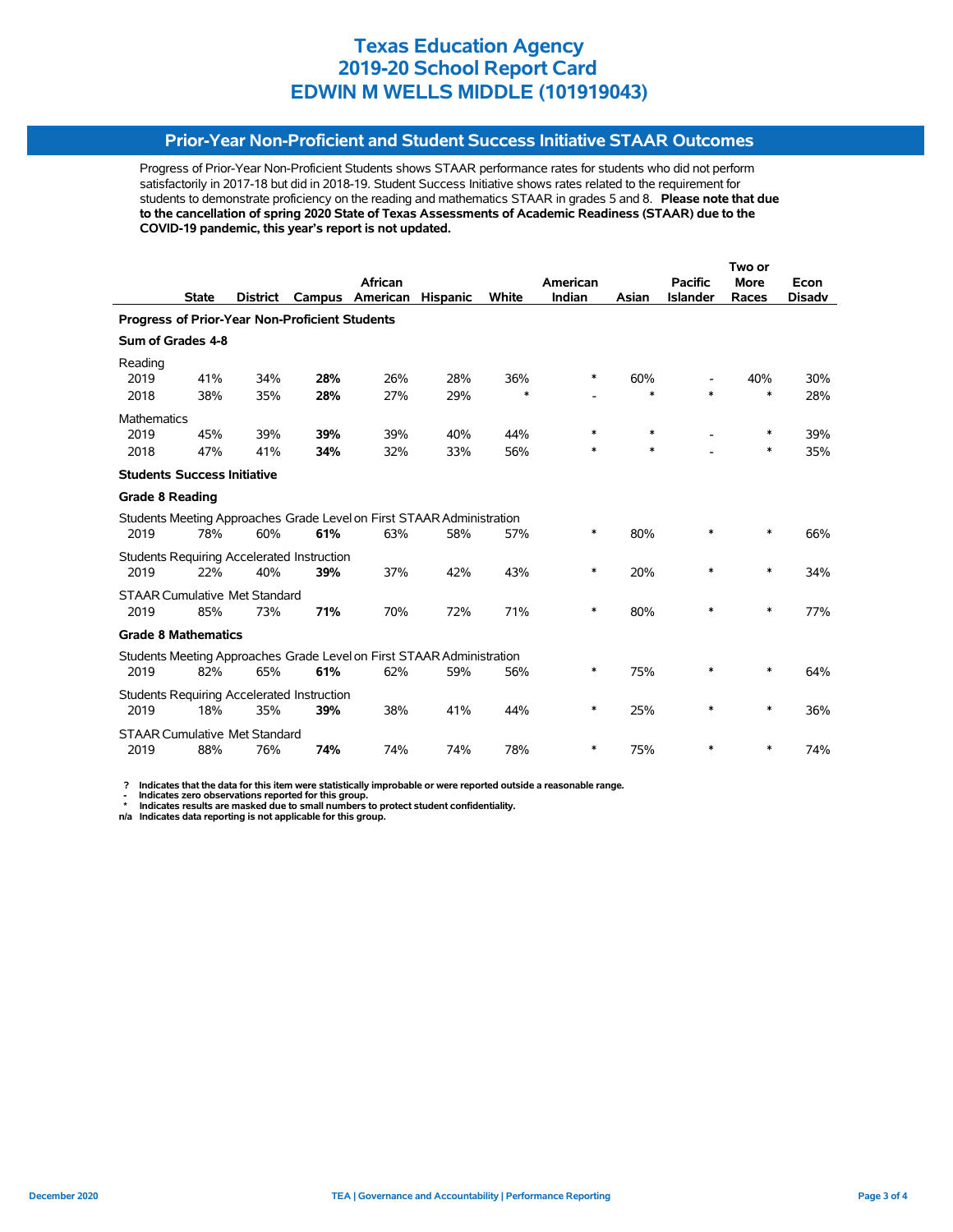## **Prior-Year Non-Proficient and Student Success Initiative STAAR Outcomes**

Progress of Prior-Year Non-Proficient Students shows STAAR performance rates for students who did not perform satisfactorily in 2017-18 but did in 2018-19. Student Success Initiative shows rates related to the requirement for students to demonstrate proficiency on the reading and mathematics STAAR in grades 5 and 8. **Please note that due to the cancellation of spring 2020 State of Texas Assessments of Academic Readiness (STAAR) due to the COVID-19 pandemic, this year's report is not updated.**

|                                                                       |                   |                                      |                                            | African                                                               |                 |        | American |        | <b>Pacific</b>  | <b>More</b> | Econ          |  |
|-----------------------------------------------------------------------|-------------------|--------------------------------------|--------------------------------------------|-----------------------------------------------------------------------|-----------------|--------|----------|--------|-----------------|-------------|---------------|--|
|                                                                       | <b>State</b>      | <b>District</b>                      | Campus                                     | American                                                              | <b>Hispanic</b> | White  | Indian   | Asian  | <b>Islander</b> | Races       | <b>Disadv</b> |  |
| Progress of Prior-Year Non-Proficient Students                        |                   |                                      |                                            |                                                                       |                 |        |          |        |                 |             |               |  |
|                                                                       | Sum of Grades 4-8 |                                      |                                            |                                                                       |                 |        |          |        |                 |             |               |  |
| Reading                                                               |                   |                                      |                                            |                                                                       |                 |        |          |        |                 |             |               |  |
| 2019                                                                  | 41%               | 34%                                  | 28%                                        | 26%                                                                   | 28%             | 36%    | $\ast$   | 60%    |                 | 40%         | 30%           |  |
| 2018                                                                  | 38%               | 35%                                  | 28%                                        | 27%                                                                   | 29%             | $\ast$ |          | $\ast$ | $\ast$          | $\ast$      | 28%           |  |
| <b>Mathematics</b>                                                    |                   |                                      |                                            |                                                                       |                 |        |          |        |                 |             |               |  |
| 2019                                                                  | 45%               | 39%                                  | 39%                                        | 39%                                                                   | 40%             | 44%    | *        | $\ast$ |                 | $\ast$      | 39%           |  |
| 2018                                                                  | 47%               | 41%                                  | 34%                                        | 32%                                                                   | 33%             | 56%    | $\ast$   | $\ast$ |                 | $\ast$      | 35%           |  |
| <b>Students Success Initiative</b>                                    |                   |                                      |                                            |                                                                       |                 |        |          |        |                 |             |               |  |
| <b>Grade 8 Reading</b>                                                |                   |                                      |                                            |                                                                       |                 |        |          |        |                 |             |               |  |
|                                                                       |                   |                                      |                                            | Students Meeting Approaches Grade Level on First STAAR Administration |                 |        |          |        |                 |             |               |  |
| 2019                                                                  | 78%               | 60%                                  | 61%                                        | 63%                                                                   | 58%             | 57%    | *        | 80%    | *               | $\ast$      | 66%           |  |
|                                                                       |                   |                                      | Students Requiring Accelerated Instruction |                                                                       |                 |        |          |        |                 |             |               |  |
| 2019                                                                  | 22%               | 40%                                  | 39%                                        | 37%                                                                   | 42%             | 43%    | $\ast$   | 20%    | $\ast$          | ∗           | 34%           |  |
|                                                                       |                   | <b>STAAR Cumulative Met Standard</b> |                                            |                                                                       |                 |        |          |        |                 |             |               |  |
| 2019                                                                  | 85%               | 73%                                  | 71%                                        | 70%                                                                   | 72%             | 71%    | $\ast$   | 80%    | $\ast$          | $\ast$      | 77%           |  |
| <b>Grade 8 Mathematics</b>                                            |                   |                                      |                                            |                                                                       |                 |        |          |        |                 |             |               |  |
| Students Meeting Approaches Grade Level on First STAAR Administration |                   |                                      |                                            |                                                                       |                 |        |          |        |                 |             |               |  |
| 2019                                                                  | 82%               | 65%                                  | 61%                                        | 62%                                                                   | 59%             | 56%    | $\ast$   | 75%    | *               | $\ast$      | 64%           |  |
| <b>Students Requiring Accelerated Instruction</b>                     |                   |                                      |                                            |                                                                       |                 |        |          |        |                 |             |               |  |
| 2019                                                                  | 18%               | 35%                                  | 39%                                        | 38%                                                                   | 41%             | 44%    | *        | 25%    | $\ast$          | $\ast$      | 36%           |  |
| <b>STAAR Cumulative Met Standard</b>                                  |                   |                                      |                                            |                                                                       |                 |        |          |        |                 |             |               |  |
| 2019                                                                  | 88%               | 76%                                  | 74%                                        | 74%                                                                   | 74%             | 78%    | *        | 75%    | *               | ∗           | 74%           |  |

 **? Indicates that the data for this item were statistically improbable or were reported outside a reasonable range.**

 **- Indicates zero observations reported for this group. \* Indicates results are masked due to small numbers to protect student confidentiality.**

**n/a Indicates data reporting is not applicable for this group.**